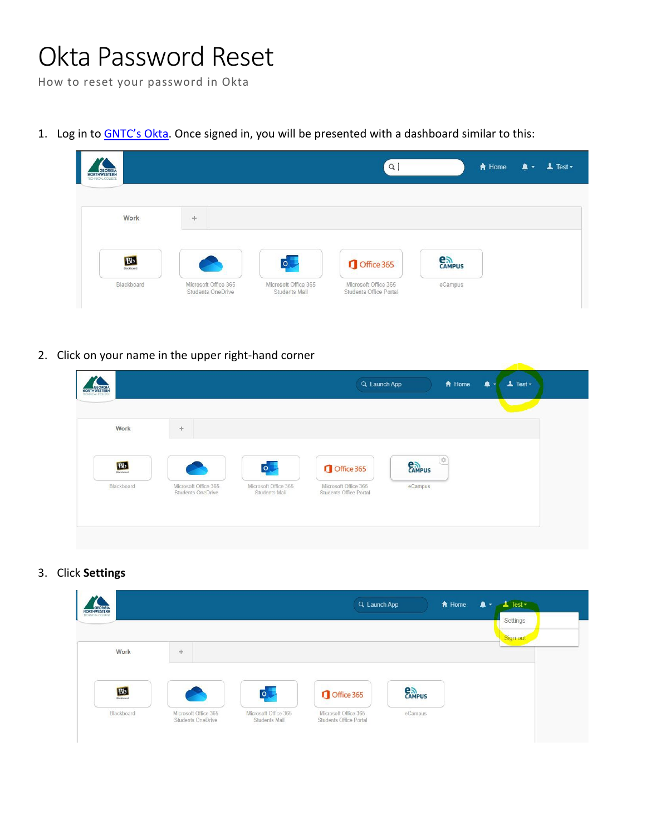## Okta Password Reset

How to reset your password in Okta

1. Log in to **GNTC's Okta**. Once signed in, you will be presented with a dashboard similar to this:



2. Click on your name in the upper right-hand corner

| NORTHWESTERN |                                           |                                       | Q Launch App                                   | A Home  | $\perp$ Test $\sim$<br>$\bullet$ |
|--------------|-------------------------------------------|---------------------------------------|------------------------------------------------|---------|----------------------------------|
| Work         | $+$                                       |                                       |                                                |         |                                  |
|              |                                           |                                       |                                                |         |                                  |
| Bb           |                                           | $\circ$                               | Office 365                                     | CAMPUS  |                                  |
| Blackboard   | Microsoft Office 365<br>Students OneDrive | Microsoft Office 365<br>Students Mail | Microsoft Office 365<br>Students Office Portal | eCampus |                                  |
|              |                                           |                                       |                                                |         |                                  |

## 3. Click **Settings**

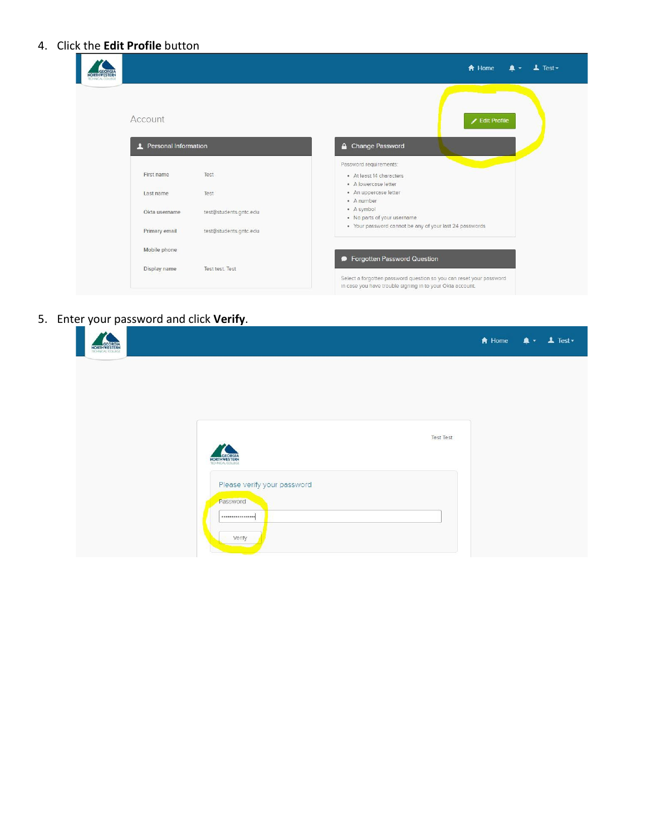## 4. Click the **Edit Profile** button

| <b>RTHWESTER</b><br><b>FOINCAL COURS</b> |                               |                        | $\perp$ Test $\sim$<br><b>A</b> Home<br>$\blacktriangle$ -                                                                       |
|------------------------------------------|-------------------------------|------------------------|----------------------------------------------------------------------------------------------------------------------------------|
|                                          | Account                       |                        | Edit Profile                                                                                                                     |
|                                          | <b>1</b> Personal Information |                        | Change Password                                                                                                                  |
|                                          | First name                    | Test                   | Password requirements:<br>· At least 14 characters<br>· A lowercase letter                                                       |
|                                          | Last name                     | Test                   | · An uppercase letter<br>· A number                                                                                              |
|                                          | Okta username                 | test@students.gntc.edu | • A symbol<br>. No parts of your username                                                                                        |
|                                          | Primary email                 | test@students.gntc.edu | . Your password cannot be any of your last 24 passwords                                                                          |
|                                          | Mobile phone                  |                        |                                                                                                                                  |
|                                          | Display name                  | <b>Test test. Test</b> | <b>•</b> Forgotten Password Question                                                                                             |
|                                          |                               |                        | Select a forgotten password question so you can reset your password<br>In case you have trouble signing in to your Okta account. |

| 5. Enter your password and click Verify.                         |                                         |                  |                     |  |
|------------------------------------------------------------------|-----------------------------------------|------------------|---------------------|--|
| <b>GEORGI</b><br><b>NORTHWESTERN</b><br><b>TECHNICAL COLLEGE</b> |                                         |                  | A Home A + 1 Test + |  |
|                                                                  |                                         |                  |                     |  |
|                                                                  |                                         |                  |                     |  |
|                                                                  |                                         | <b>Test Test</b> |                     |  |
|                                                                  | <b>NORTHWESTER!</b><br>TECHNICAL-COLLEG |                  |                     |  |
|                                                                  | Please verify your password             |                  |                     |  |
|                                                                  | Password                                |                  |                     |  |
|                                                                  | ,,,,,,,,,,,,,,,,<br>Verify              |                  |                     |  |
|                                                                  |                                         |                  |                     |  |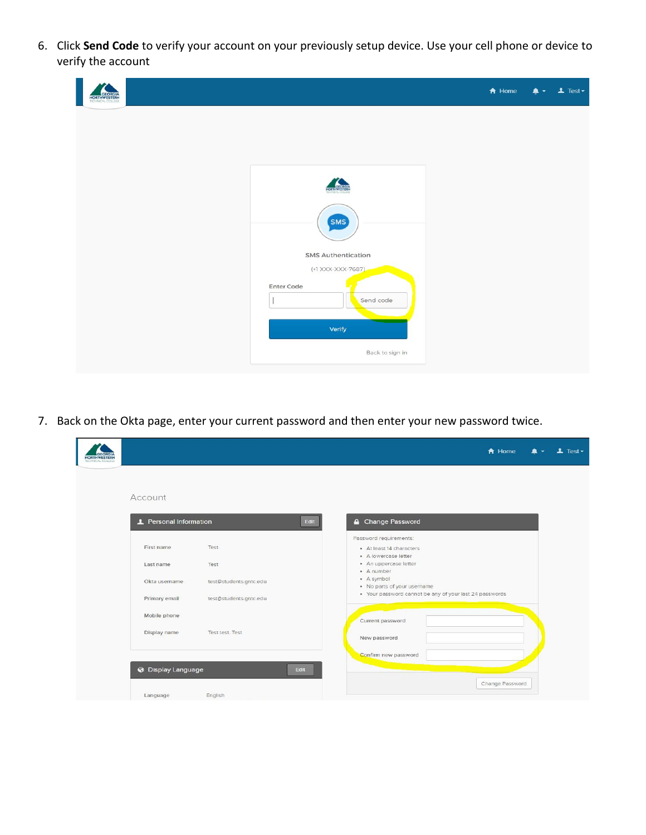6. Click Send Code to verify your account on your previously setup device. Use your cell phone or device to verify the account

| NORTHWESTERN |                                                | $\bigwedge$ Home | $4 - 1$ Test - |
|--------------|------------------------------------------------|------------------|----------------|
|              |                                                |                  |                |
|              |                                                |                  |                |
|              | <b>GEORG</b>                                   |                  |                |
|              | SMS                                            |                  |                |
|              | <b>SMS Authentication</b><br>(+1 XXX-XXX-7687) |                  |                |
|              | <b>Enter Code</b><br>Send code                 |                  |                |
|              | Verify                                         |                  |                |
|              | Back to sign in                                |                  |                |

7. Back on the Okta page, enter your current password and then enter your new password twice.

|                               |                        |      |                                                                            | A Home          | $L$ Test $\sim$ |
|-------------------------------|------------------------|------|----------------------------------------------------------------------------|-----------------|-----------------|
| Account                       |                        |      |                                                                            |                 |                 |
| <b>L</b> Personal Information |                        | Edit | Change Password                                                            |                 |                 |
| First name                    | Test                   |      | Password requirements:<br>· At least 14 characters<br>· A lowercase letter |                 |                 |
| Last name                     | Test                   |      | · An uppercase letter<br>· A number                                        |                 |                 |
| Okta username                 | test@students.gntc.edu |      | • A symbol<br>. No parts of your username                                  |                 |                 |
| Primary email                 | test@students.gntc.edu |      | . Your password cannot be any of your last 24 passwords                    |                 |                 |
| Mobile phone                  |                        |      | Current password                                                           |                 |                 |
| Display name                  | Test test. Test        |      | New password                                                               |                 |                 |
|                               |                        |      | Confirm new password                                                       |                 |                 |
| <b>8</b> Display Language     |                        | Edit |                                                                            |                 |                 |
| Language                      | English                |      |                                                                            | Change Password |                 |